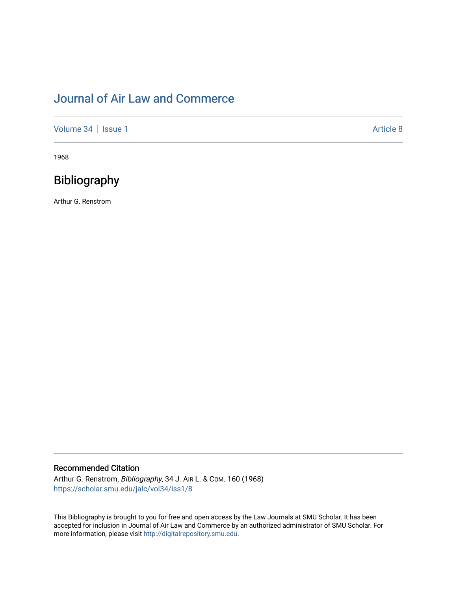# [Journal of Air Law and Commerce](https://scholar.smu.edu/jalc)

[Volume 34](https://scholar.smu.edu/jalc/vol34) | [Issue 1](https://scholar.smu.edu/jalc/vol34/iss1) Article 8

1968

## Bibliography

Arthur G. Renstrom

### Recommended Citation

Arthur G. Renstrom, Bibliography, 34 J. AIR L. & COM. 160 (1968) [https://scholar.smu.edu/jalc/vol34/iss1/8](https://scholar.smu.edu/jalc/vol34/iss1/8?utm_source=scholar.smu.edu%2Fjalc%2Fvol34%2Fiss1%2F8&utm_medium=PDF&utm_campaign=PDFCoverPages) 

This Bibliography is brought to you for free and open access by the Law Journals at SMU Scholar. It has been accepted for inclusion in Journal of Air Law and Commerce by an authorized administrator of SMU Scholar. For more information, please visit [http://digitalrepository.smu.edu](http://digitalrepository.smu.edu/).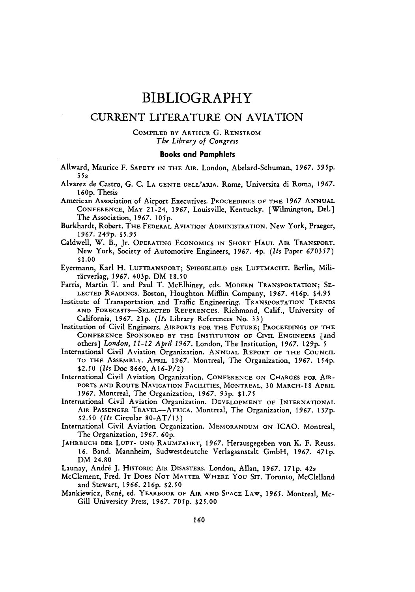### BIBLIOGRAPHY

### CURRENT LITERATURE **ON AVIATION**

### COMPILED BY ARTHUR **G.** RENSTROM *The Library of Congress*

#### Books and Pamphlets

Ailward, Maurice F. SAFETY IN THE AIR. London, Abelard-Schuman, **1967.** 395p. **35s**

Alvarez de Castro, G. C. **LA GENTE** DELL'ARIA. Rome, Universita di Roma, **1967. 160p.** Thesis

American Association of Airport Executives. **PROCEEDINGS** OF THE **1967** ANNUAL CONFERENCE, MAY 21-24, 1967, Louisville, Kentucky. [Wilmington, Del.] The Association, 1967. *105p.*

Burkhardt, Robert. THE FEDERAL **AVIATION ADMINISTRATION.** New York, Praeger, **1967. 249p. \$5.95**

- Caldwell, W. B., Jr. OPERATING ECONOMICS IN SHORT HAUL AIR TRANSPORT. New York, Society of Automotive Engineers, 1967. 4p. *(Its* Paper 670357) **\$1.00**
- Eyermann, Karl H. LUFTRANSPORT; SPIEGELBILD DER **LUFTMACHT.** Berlin, Militirverlag, **1967. 403p.** DM **18.50**
- Farris, Martin T. and Paul T. McElhiney, eds. MODERN TRANSPORTATION; SE-LECTED READINGS. Boston, Houghton Mifflin Company, **1967. 416p.** \$4.95
- Institute of Transportation and Traffic Engineering. TRANSPORTATION TRENDS AND FORECASTS-SELECTED REFERENCES. Richmond, Calif., University of California, 1967. **21p.** *(Its* Library References No. 33)

Institution of Civil Engineers. AIRPORTS FOR THE **FUTURE;** PROCEEDINGS OF THE CONFERENCE SPONSORED BY THE INSTITUTION OF CIVIL ENGINEERS [and others] *London, 11-12 April 1967.* London, The Institution, 1967. **129p.** *5*

International Civil Aviation Organization. ANNUAL REPORT OF THE COUNCIL TO THE ASSEMBLY. APRIL 1967. Montreal, The Organization, **1967. 154p.** \$2.50 *(Its* Doc 8660, A16-P/2)

International Civil Aviation Organization. CONFERENCE **ON** CHARGES **FOR** AIR-PORTS **AND** ROUTE NAVIGATION FACILITIES, MONTREAL, 30 MARCH-18 APRIL **1967.** Montreal, The Organization, 1967. 93p. \$1.75

International Civil Aviation Organization. DEVELOPMENT OF INTERNATIONAL AIR PASSENGER TRAVEL-AFRICA. Montreal, The Organization, **1967. 137p. \$2.50** *(Its* Circular 80-AT/13)

International Civil Aviation Organization. **MEMORANDUM** ON ICAO. Montreal, The Organization, **1967. 60p.**

JAHRBUCH DER **LUFT- UND** RAUMFAHRT, 1967. Herausgegeben von K. F. Reuss. **16.** Band. Mannheim, Sudwestdeutche Verlagsanstalt GmbH, 1967. **471p.** DM 24.80

Launay, André J. HISTORIC AIR DISASTERS. London, Allan, 1967. 171p. 42s

- McClement, Fred. IT DOES NOT MATTER WHERE YOU SIT. Toronto, McClelland and Stewart, 1966. **216p. \$2.50**
- Mankiewicz, René, ed. YEARBOOK OF AIR AND SPACE LAW, 1965. Montreal, Mc-Gill University Press, 1967. **705p.** \$25.00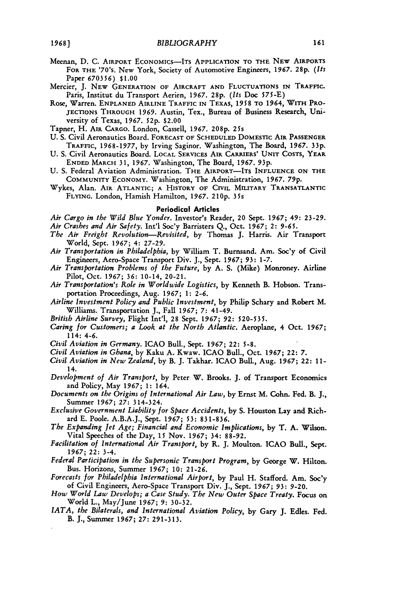- Meenan, **D. C. AIRPORT ECONOMICS-ITs APPLICATION TO THE** NEw **AIRPORTS** FOR THE '70's. New York, Society of Automotive Engineers, 1967. 28p. (It. Paper 670356) **\$1.00**
- Mercier, J. NEW **GENERATION OF** AIRCRAFT **AND FLUCTUATIONS** IN **TRAFFIC.** Paris, Institut du Transport Aerien, 1967. 28p. *(Its* Doc 575-E)
- Rose, Warren. **ENPLANED AIRLINE TRAFFIC IN TEXAS, 1958 TO** 1964, **WITH PRO-JECTIONS THROUGH 1969.** Austin, Tex., Bureau of Business Research, **Uni**versity of Texas, **1967.** 52p. \$2.00

Tapner, H. **AIR CARGO.** London, Cassell, **1967. 208p.** 25s

- **U. S.** Civil Aeronautics Board. **FORECAST OF SCHEDULED DOMESTIC AIR PASSENGER TRAFFIC,** 1968-1977, by Irving Saginor. Washington, The Board, **1967. 33p.**
- **U.** S. Civil Aeronautics Board. **LOCAL** SERVICES **AIR CARRIERS'** UNIT **COSTS,** YEAR **ENDED** MARCH 31, 1967. Washington, The Board, 1967. 93p.
- **U.** S. Federal Aviation Administration. THE AIRPORT-ITS **INFLUENCE ON THE** COMMUNITY ECONOMY. Washington, The Administration, 1967. 79p.
- Wykes, Alan. AIR **ATLANTIC; A HISTORY OF CIVIL MILITARY TRANSATLANTIC** FLYING. London, Hamish Hamilton, 1967. **210p.** 35s

#### Periodical Articles

*Air Cargo in the Wild Blue Yonder.* Investor's Reader, 20 Sept. **1967;** 49: **23-29.** *Air Crashes and Air Safety.* Int'l Soc'y Barristers Q., Oct. 1967; *2:* **9-65.**

- *The Air Freight Revolution-Revisited,* by Thomas J. Harris. Air Transport World, Sept. *1967;* 4: 27-29.
- *Air Transportation in Philadelphia,* by William T. Burnsand. Am. Soc'y of Civil Engineers, Aero-Space Transport Div. J., Sept. 1967; *93:* 1-7.
- *Air Transportation Problems of the Future,* by A. S. (Mike) Monroney. Airline Pilot, Oct. **1967; 36:** 10-14, 20-21.
- *Air Transportation's Role in Worldwide Logistics,* by Kenneth B. Hobson. Transportation Proceedings, Aug. **1967;** 1: 2-6.
- *Airline Investment Policy and Public Investment,* by Philip Schary and Robert M. Williams. Transportation J., Fall **1967;** 7: 41-49.
- *British Airline Survey,* Flight Int'l, 28 Sept. 1967; 92: 520-535.
- *Caring for Customers; a Look at the North Atlantic.* Aeroplane, 4 Oct. **1967;** 114: 4-6.
- *Civil Aviation in Germany.* ICAO Bull., Sept. **1967;** 22: 5-8.
- *Civil Aviation in Ghana,* by Kaku A. Kwaw. ICAO Bull., Oct. **1967;** 22: 7.
- *Civil Aviation in New Zealand,* by B. J. Takhar. ICAO Bull., Aug. *1967;* 22: 11- 14.
- *Development of Air Transport,* by Peter W. Brooks. J. of Transport Economics and Policy, May **1967;** 1: 164.
- *Documents on the Origins of International Air Law,* by Ernst M. Cohn. Fed. B. J., Summer **1967;** *27:* 314-324.
- *Exclusive Government Liability for Space Accidents,* **by** S. Houston Lay and Richard E. Poole. A.B.A.J., Sept. *1967; 53:* 831-836.
- *The Expanding Jet Age; Financial and Economic Implications,* by T. A. Wilson. Vital Speeches of the Day, 15 Nov. **1967;** 34: 88-92.
- *Facilitation of International Air Transport,* by R. J. Moulton. ICAO Bull., Sept. *1967;* 22: 3-4.
- *Federal Participation in the Supersonic Transport Program,* **by** George W. Hilton. Bus. Horizons, Summer 1967; 10: 21-26.
- *Forecasts for Philadelphia International Airport,* by Paul H. Stafford. Am. Soc'y of Civil Engineers, Aero-Space Transport Div. J., Sept. *1967; 93:* 9-20.
- *How World Law Develops; a Case Study. The New Outer Space Treaty.* Focus on World L., May/June *1967;* 9: 30-32.
- *IATA, the Bilaterals, and International Aviation Policy,* **by** Gary J. Edles. Fed. B. J., Summer 1967; 27: 291-313.

161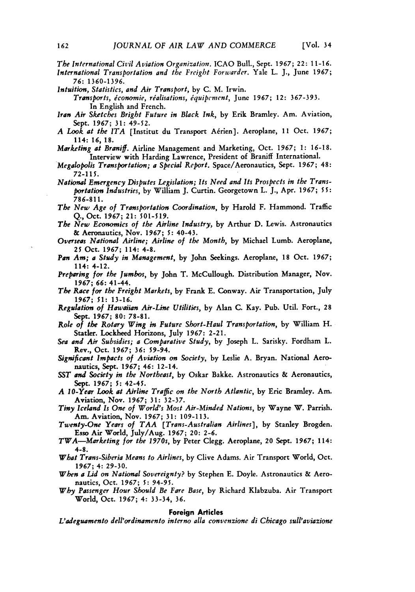*The International Civil Aviation Organization.* ICAO Bull., Sept. 1967; 22: 11-16.

*International Transportation and the Freight Forwarder.* Yale L. J., June 1967; *76:* 1360-1396.

*Intuition, Statistics, and Air Transport,* by C. M. Irwin.

*Transports, iconomie, rialisations, iquipement,* June **1967;** 12: 367-393. In English and French.

- *Iran Air Sketches Bright Future in Black Ink,* by Erik Bramley. Am. Aviation, Sept. *1967;* 31: 49-52.
- *A Look at the ITA* [Institut du Transport A~rien]. Aeroplane, 11 Oct. *1967;* 114: *16,* 18.

*Marketing at Braniff.* Airline Management and Marketing, Oct. *1967;* 1: 16-18. Interview with Harding Lawrence, President of Braniff International.

*National Emergency Disputes Legislation; Its Need and Its Prospects in the Transportation Industries,* by William J. Curtin. Georgetown L. J., Apr. 1967; **5** 5: 786-811.

*The New Age of Transportation Coordination,* by Harold F. Hammond. Traffic Q., Oct. 1967; 21: 501-519.

- *The New Economics of the Airline Industry,* by Arthur D. Lewis. Astronautics & Aeronautics, Nov. *1967; 5:* 40-43.
- *Overseas National Airline; Airline of the Month,* by Michael Lumb. Aeroplane, *25* Oct. **1967;** 114: 4-8.
- *Pan Am; a Study in Management,* by John Seekings. Aeroplane, 18 Oct. 1967; 114: 4-12.
- *Preparing for the Jumbos,* by John T. McCullough. Distribution Manager, Nov. *1967; 66:* 41-44.
- *The Race for the Freight Markets,* by Frank E. Conway. Air Transportation, July 1967; 51: 13-16.
- *Regulation of Hawaiian Air-Line Utilities,* by Alan C. Kay. Pub. Util. Fort., 28 Sept. 1967; 80: 78-81.
- *Role of the Rotary Wing in Future Short-Haul Transportation,* by William H. Statler. Lockheed Horizons, July 1967: 2-21.
- *Sea and Air Subsidies; a Comparative Study,* by Joseph L. Sarisky. Fordham L. Rev., Oct. **1967; 36:** 59-94.
- *Significant Impacts of Aviation on Society,* by Leslie A. Bryan. National Aeronautics, Sept. 1967; 46: 12-14.
- *SST and Society in the Northeast,* **by** Oskar Bakke. Astronautics & Aeronautics, Sept. 1967; *5:* 42-45.
- *A 10-Year Look at Airline Traflic on the North Atlantic,* **by** Eric Bramley. Am. Aviation, Nov. 1967; 31: 32-37.
- *Tiny Iceland Is One of World's Most Air-Minded Nations,* by Wayne W. Parrish. Am. Aviation, Nov. 1967; 31: 109-113.
- *Twenty-One Years of TAA [Trans-Australian Airlines],* **by** Stanley Brogden. Esso Air World, July/Aug. **1967;** 20: 2-6.
- *TWA-Marketing for the 1970s,* **by** Peter Clegg. Aeroplane, 20 Sept. **1967;** 114: 4-8.
- *What Trans-Siberia Means to Airlines,* by Clive Adams. Air Transport World, Oct. **1967;** 4: 29-30.
- *When a Lid on National Sovereignty?* by Stephen E. Doyle. Astronautics & Aeronautics, Oct. **1967;** *5:* 94-95.
- *Why Passenger Hour Should Be Fare Base,* by Richard Klabzuba. Air Transport World, Oct. 1967; 4: 33-34, 36.

#### **Foreign Articles**

*L'adeguamento dell'ordinamento interno alla convenzione di Chicago sull'aviazione*

*Megalopolis Transportation; a Special Report.* Space/Aeronautics, Sept. 1967; 48: *72-115.*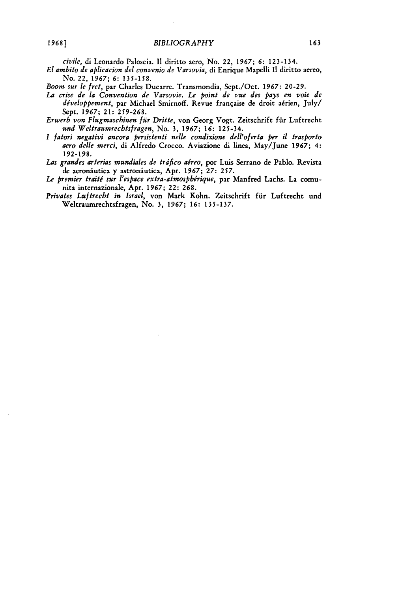*civile,* di Leonardo Paloscia. It diritto aero, No. 22, *1967;* **6:** 123-134.

- *El ambito de aplicacion del convenio de Varsovia,* di Enrique Mapelli **I1** diritto aereo, No. 22, *1967;* **6:** 135-158.
- *Boom sur le fret,* par Charles Ducarre. Transmondia, Sept./Oct. **1967:** 20-29.
- *La crise de la Convention de Varsovie. Le point de vue des pays en voie de* développement, par Michael Smirnoff. Revue française de droit aérien, July/ Sept. **1967;** 21: 259-268.
- *Erwerb von Flugmaschinen ffir Dritte,* von Georg Vogt. Zeitschrift ffir Luftrecht *und Weltraumrechtsfragen,* No. 3, **1967; 16:** 125-34.
- *I fatori negativi ancora persistenti nelle condizione dell'oferta per il trasporto aero delle merci,* di Alfredo Crocco. Aviazione di linea, May/June **1967;** 4: 192-198.
- Las grandes arterias mundiales de tráfico aéreo, por Luis Serrano de Pablo. Revista de aeroniutica y astroniutica, Apr. *1967;* **27:** *257.*
- Le premier traité sur l'espace extra-atmosphérique, par Manfred Lachs. La comunita internazionale, Apr. *1967;* 22: 268.
- *Privates Luftrecht in Israel,* von Mark Kohn. Zeitschrift fiir Luftrecht und Weltraumrechtsfragen, No. 3, *1967;* **16:** 135-137.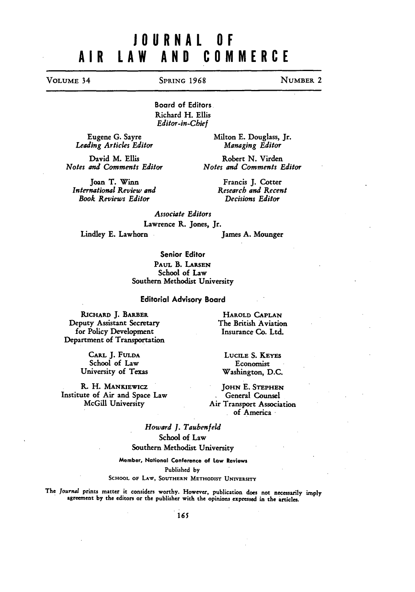# **JOURNAL OF** AIR LAW **AND** COMMERCE

### **VOLUME** 34 SPRING **1968 NUMBER** 2

Board of Editors Richard H. Ellis *Editor-in-Chief*

Eugene **G.** Sayre *Leading Articles Editor*

David M. Ellis *Notes and Comments Editor*

Joan T. Winn *International Review and* Book Reviews *Editor*

Milton **E.** Douglass, Jr. *Managing Editor*

Robert **N.** Virden *Notes and Comments Editor*

> Francis J. Cotter *Research and Recent Decisions Editor*

*Associate Editors* Lawrence **R.** Jones, Jr.

Lindley **E.** Lawhorn James A. Mounger

Senior Editor **PAUL** B. **LARSEN** School of Law Southern Methodist University

Editorial Advisory Board

**RICHARD J.** BARBER Deputy Assistant Secretary for Policy Development Department of Transportation

> **CARL J. FULDA** School of Law University of Texas

**R.** H. **MANKiEWicZ** Institute of Air and Space Law McGill University

**HAROLD CAPLAN** The British Aviation Insurance Co. Ltd.

**LUCILE S. KEYES** Economist Washington, D.C.

**JOHN E. STEPHEN** General Counsel Air Transport Association of America

*Howard J. Taubenfeld* School of Law Southern Methodist University

**Member, National Conference of Low Reviews** Published **by**

**SCHOOL** OF **LAW, SOUTHERN** METHODIST UNIVERSITY

The *Journal* prints matter it considers worthy. However, publication does not necessarily **imply** agreement **by** the editors or the publisher with the opinions expressed in the articles.